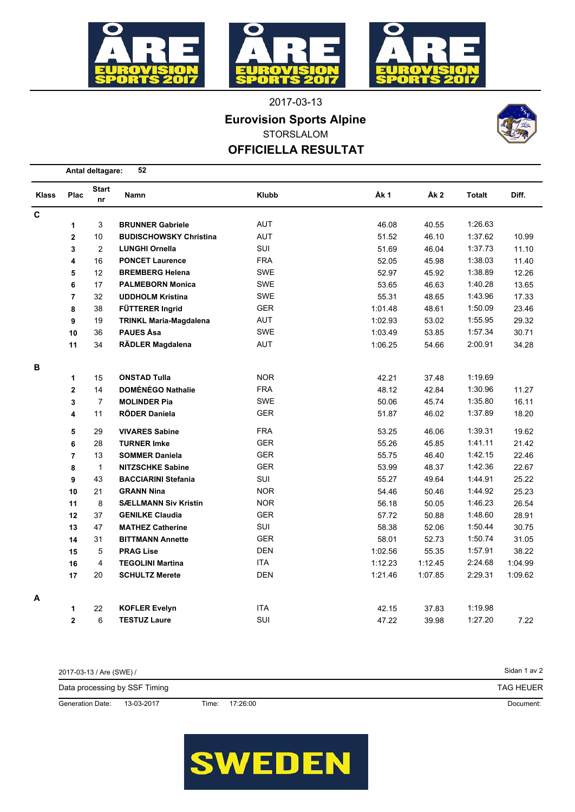

2017-03-13

**Eurovision Sports Alpine**

STORSLALOM

## **OFFICIELLA RESULTAT**



|              |                         | 52<br>Antal deltagare: |                               |            |         |                 |         |         |  |  |  |
|--------------|-------------------------|------------------------|-------------------------------|------------|---------|-----------------|---------|---------|--|--|--|
| <b>Klass</b> | Plac                    | <b>Start</b><br>nr     | Namn                          | Klubb      | Åk 1    | Åk <sub>2</sub> | Totalt  | Diff.   |  |  |  |
| C            |                         |                        |                               |            |         |                 |         |         |  |  |  |
|              | 1                       | 3                      | <b>BRUNNER Gabriele</b>       | <b>AUT</b> | 46.08   | 40.55           | 1:26.63 |         |  |  |  |
|              | $\overline{\mathbf{2}}$ | 10                     | <b>BUDISCHOWSKY Christina</b> | AUT        | 51.52   | 46.10           | 1:37.62 | 10.99   |  |  |  |
|              | 3                       | $\overline{2}$         | <b>LUNGHI Ornella</b>         | SUI        | 51.69   | 46.04           | 1:37.73 | 11.10   |  |  |  |
|              | 4                       | 16                     | <b>PONCET Laurence</b>        | <b>FRA</b> | 52.05   | 45.98           | 1:38.03 | 11.40   |  |  |  |
|              | 5                       | 12                     | <b>BREMBERG Helena</b>        | SWE        | 52.97   | 45.92           | 1:38.89 | 12.26   |  |  |  |
|              | 6                       | 17                     | <b>PALMEBORN Monica</b>       | SWE        | 53.65   | 46.63           | 1:40.28 | 13.65   |  |  |  |
|              | $\overline{7}$          | 32                     | <b>UDDHOLM Kristina</b>       | <b>SWE</b> | 55.31   | 48.65           | 1:43.96 | 17.33   |  |  |  |
|              | 8                       | 38                     | FÜTTERER Ingrid               | <b>GER</b> | 1:01.48 | 48.61           | 1:50.09 | 23.46   |  |  |  |
|              | 9                       | 19                     | <b>TRINKL Maria-Magdalena</b> | AUT        | 1:02.93 | 53.02           | 1:55.95 | 29.32   |  |  |  |
|              | 10                      | 36                     | <b>PAUES Åsa</b>              | SWE        | 1:03.49 | 53.85           | 1:57.34 | 30.71   |  |  |  |
|              | 11                      | 34                     | RÄDLER Magdalena              | AUT        | 1:06.25 | 54.66           | 2:00.91 | 34.28   |  |  |  |
| в            |                         |                        |                               |            |         |                 |         |         |  |  |  |
|              | 1                       | 15                     | <b>ONSTAD Tulla</b>           | <b>NOR</b> | 42.21   | 37.48           | 1:19.69 |         |  |  |  |
|              | $\mathbf 2$             | 14                     | <b>DOMÉNÉGO Nathalie</b>      | <b>FRA</b> | 48.12   | 42.84           | 1:30.96 | 11.27   |  |  |  |
|              | 3                       | $\overline{7}$         | <b>MOLINDER Pia</b>           | SWE        | 50.06   | 45.74           | 1:35.80 | 16.11   |  |  |  |
|              | 4                       | 11                     | <b>RÖDER Daniela</b>          | <b>GER</b> | 51.87   | 46.02           | 1:37.89 | 18.20   |  |  |  |
|              | 5                       | 29                     | <b>VIVARES Sabine</b>         | <b>FRA</b> | 53.25   | 46.06           | 1:39.31 | 19.62   |  |  |  |
|              | 6                       | 28                     | <b>TURNER Imke</b>            | <b>GER</b> | 55.26   | 45.85           | 1:41.11 | 21.42   |  |  |  |
|              | $\overline{7}$          | 13                     | <b>SOMMER Daniela</b>         | <b>GER</b> | 55.75   | 46.40           | 1:42.15 | 22.46   |  |  |  |
|              | 8                       | $\mathbf{1}$           | <b>NITZSCHKE Sabine</b>       | <b>GER</b> | 53.99   | 48.37           | 1:42.36 | 22.67   |  |  |  |
|              | 9                       | 43                     | <b>BACCIARINI Stefania</b>    | SUI        | 55.27   | 49.64           | 1:44.91 | 25.22   |  |  |  |
|              | 10                      | 21                     | <b>GRANN Nina</b>             | <b>NOR</b> | 54.46   | 50.46           | 1:44.92 | 25.23   |  |  |  |
|              | 11                      | 8                      | <b>SÆLLMANN Siv Kristin</b>   | <b>NOR</b> | 56.18   | 50.05           | 1:46.23 | 26.54   |  |  |  |
|              | 12                      | 37                     | <b>GENILKE Claudia</b>        | <b>GER</b> | 57.72   | 50.88           | 1:48.60 | 28.91   |  |  |  |
|              | 13                      | 47                     | <b>MATHEZ Catherine</b>       | SUI        | 58.38   | 52.06           | 1:50.44 | 30.75   |  |  |  |
|              | 14                      | 31                     | <b>BITTMANN Annette</b>       | <b>GER</b> | 58.01   | 52.73           | 1:50.74 | 31.05   |  |  |  |
|              | 15                      | 5                      | <b>PRAG Lise</b>              | <b>DEN</b> | 1:02.56 | 55.35           | 1:57.91 | 38.22   |  |  |  |
|              | 16                      | $\overline{4}$         | <b>TEGOLINI Martina</b>       | <b>ITA</b> | 1:12.23 | 1:12.45         | 2:24.68 | 1:04.99 |  |  |  |
|              | 17                      | 20                     | <b>SCHULTZ Merete</b>         | <b>DEN</b> | 1:21.46 | 1:07.85         | 2:29.31 | 1:09.62 |  |  |  |
| А            |                         |                        |                               |            |         |                 |         |         |  |  |  |
|              | 1                       | 22                     | <b>KOFLER Evelyn</b>          | <b>ITA</b> | 42.15   | 37.83           | 1:19.98 |         |  |  |  |
|              | $\mathbf{2}$            | 6                      | <b>TESTUZ Laure</b>           | SUI        | 47.22   | 39.98           | 1:27.20 | 7.22    |  |  |  |

Sidan 1 av 2 Document: TAG HEUER Generation Date: 13-03-2017 Time: 17:26:00 Data processing by SSF Timing 2017-03-13 / Are (SWE) /